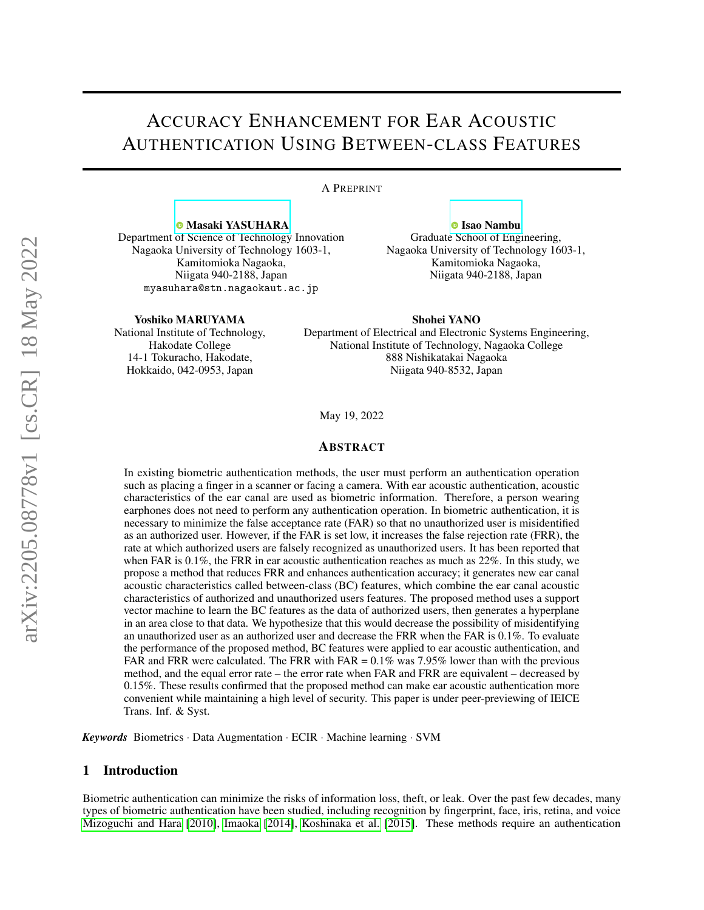# ACCURACY ENHANCEMENT FOR EAR ACOUSTIC AUTHENTICATION USING BETWEEN-CLASS FEATURES

A PREPRINT

**<sup>®</sup> [Masaki YASUHARA](https://orcid.org/0000-0002-8371-2868)** Department of Science of Technology Innovation Nagaoka University of Technology 1603-1, Kamitomioka Nagaoka, Niigata 940-2188, Japan myasuhara@stn.nagaokaut.ac.jp

**<sup>O</sup>** [Isao Nambu](https://orcid.org/0000-0002-1705-6268) Graduate School of Engineering, Nagaoka University of Technology 1603-1, Kamitomioka Nagaoka, Niigata 940-2188, Japan

Yoshiko MARUYAMA

National Institute of Technology, Hakodate College 14-1 Tokuracho, Hakodate, Hokkaido, 042-0953, Japan

Shohei YANO Department of Electrical and Electronic Systems Engineering, National Institute of Technology, Nagaoka College 888 Nishikatakai Nagaoka Niigata 940-8532, Japan

May 19, 2022

## ABSTRACT

In existing biometric authentication methods, the user must perform an authentication operation such as placing a finger in a scanner or facing a camera. With ear acoustic authentication, acoustic characteristics of the ear canal are used as biometric information. Therefore, a person wearing earphones does not need to perform any authentication operation. In biometric authentication, it is necessary to minimize the false acceptance rate (FAR) so that no unauthorized user is misidentified as an authorized user. However, if the FAR is set low, it increases the false rejection rate (FRR), the rate at which authorized users are falsely recognized as unauthorized users. It has been reported that when FAR is 0.1%, the FRR in ear acoustic authentication reaches as much as 22%. In this study, we propose a method that reduces FRR and enhances authentication accuracy; it generates new ear canal acoustic characteristics called between-class (BC) features, which combine the ear canal acoustic characteristics of authorized and unauthorized users features. The proposed method uses a support vector machine to learn the BC features as the data of authorized users, then generates a hyperplane in an area close to that data. We hypothesize that this would decrease the possibility of misidentifying an unauthorized user as an authorized user and decrease the FRR when the FAR is 0.1%. To evaluate the performance of the proposed method, BC features were applied to ear acoustic authentication, and FAR and FRR were calculated. The FRR with FAR  $= 0.1\%$  was 7.95% lower than with the previous method, and the equal error rate – the error rate when FAR and FRR are equivalent – decreased by 0.15%. These results confirmed that the proposed method can make ear acoustic authentication more convenient while maintaining a high level of security. This paper is under peer-previewing of IEICE Trans. Inf. & Syst.

*Keywords* Biometrics · Data Augmentation · ECIR · Machine learning · SVM

## 1 Introduction

Biometric authentication can minimize the risks of information loss, theft, or leak. Over the past few decades, many types of biometric authentication have been studied, including recognition by fingerprint, face, iris, retina, and voice [Mizoguchi and Hara](#page-7-0) [\[2010\]](#page-7-0), [Imaoka](#page-7-1) [\[2014\]](#page-7-1), [Koshinaka et al.](#page-7-2) [\[2015\]](#page-7-2). These methods require an authentication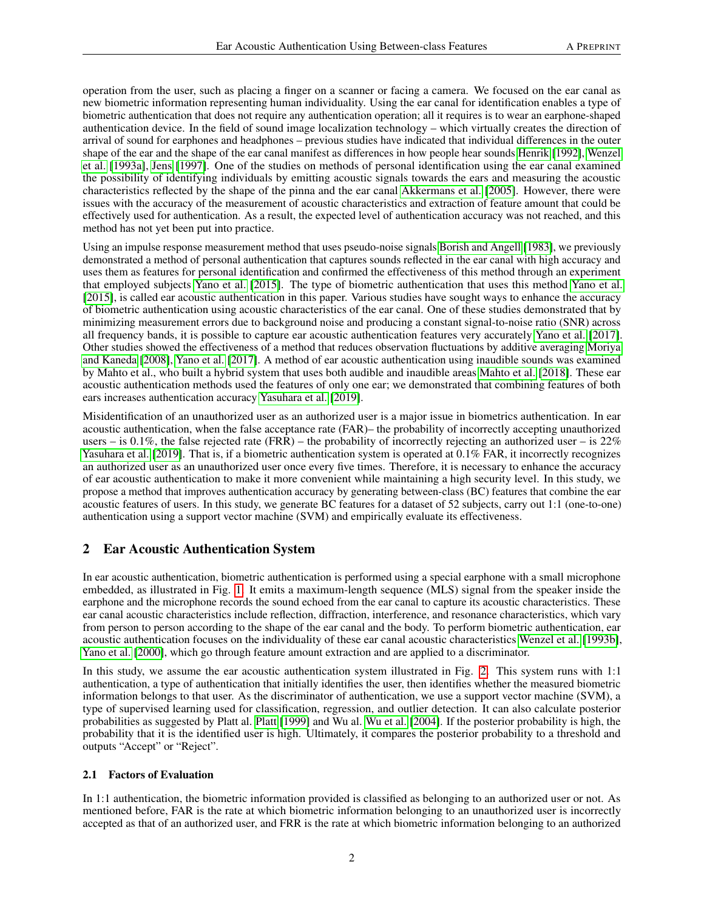operation from the user, such as placing a finger on a scanner or facing a camera. We focused on the ear canal as new biometric information representing human individuality. Using the ear canal for identification enables a type of biometric authentication that does not require any authentication operation; all it requires is to wear an earphone-shaped authentication device. In the field of sound image localization technology – which virtually creates the direction of arrival of sound for earphones and headphones – previous studies have indicated that individual differences in the outer shape of the ear and the shape of the ear canal manifest as differences in how people hear sounds [Henrik](#page-7-3) [\[1992\]](#page-7-3), [Wenzel](#page-7-4) [et al.](#page-7-4) [\[1993a\]](#page-7-4), [Jens](#page-7-5) [\[1997\]](#page-7-5). One of the studies on methods of personal identification using the ear canal examined the possibility of identifying individuals by emitting acoustic signals towards the ears and measuring the acoustic characteristics reflected by the shape of the pinna and the ear canal [Akkermans et al.](#page-7-6) [\[2005\]](#page-7-6). However, there were issues with the accuracy of the measurement of acoustic characteristics and extraction of feature amount that could be effectively used for authentication. As a result, the expected level of authentication accuracy was not reached, and this method has not yet been put into practice.

Using an impulse response measurement method that uses pseudo-noise signals [Borish and Angell](#page-7-7) [\[1983\]](#page-7-7), we previously demonstrated a method of personal authentication that captures sounds reflected in the ear canal with high accuracy and uses them as features for personal identification and confirmed the effectiveness of this method through an experiment that employed subjects [Yano et al.](#page-7-8) [\[2015\]](#page-7-8). The type of biometric authentication that uses this method [Yano et al.](#page-7-8) [\[2015\]](#page-7-8), is called ear acoustic authentication in this paper. Various studies have sought ways to enhance the accuracy of biometric authentication using acoustic characteristics of the ear canal. One of these studies demonstrated that by minimizing measurement errors due to background noise and producing a constant signal-to-noise ratio (SNR) across all frequency bands, it is possible to capture ear acoustic authentication features very accurately [Yano et al.](#page-8-0) [\[2017\]](#page-8-0). Other studies showed the effectiveness of a method that reduces observation fluctuations by additive averaging [Moriya](#page-8-1) [and Kaneda](#page-8-1) [\[2008\]](#page-8-1), [Yano et al.](#page-8-0) [\[2017\]](#page-8-0). A method of ear acoustic authentication using inaudible sounds was examined by Mahto et al., who built a hybrid system that uses both audible and inaudible areas [Mahto et al.](#page-8-2) [\[2018\]](#page-8-2). These ear acoustic authentication methods used the features of only one ear; we demonstrated that combining features of both ears increases authentication accuracy [Yasuhara et al.](#page-8-3) [\[2019\]](#page-8-3).

Misidentification of an unauthorized user as an authorized user is a major issue in biometrics authentication. In ear acoustic authentication, when the false acceptance rate (FAR)– the probability of incorrectly accepting unauthorized users – is 0.1%, the false rejected rate (FRR) – the probability of incorrectly rejecting an authorized user – is  $22\%$ [Yasuhara et al.](#page-8-3) [\[2019\]](#page-8-3). That is, if a biometric authentication system is operated at 0.1% FAR, it incorrectly recognizes an authorized user as an unauthorized user once every five times. Therefore, it is necessary to enhance the accuracy of ear acoustic authentication to make it more convenient while maintaining a high security level. In this study, we propose a method that improves authentication accuracy by generating between-class (BC) features that combine the ear acoustic features of users. In this study, we generate BC features for a dataset of 52 subjects, carry out 1:1 (one-to-one) authentication using a support vector machine (SVM) and empirically evaluate its effectiveness.

# 2 Ear Acoustic Authentication System

In ear acoustic authentication, biometric authentication is performed using a special earphone with a small microphone embedded, as illustrated in Fig. [1.](#page-2-0) It emits a maximum-length sequence (MLS) signal from the speaker inside the earphone and the microphone records the sound echoed from the ear canal to capture its acoustic characteristics. These ear canal acoustic characteristics include reflection, diffraction, interference, and resonance characteristics, which vary from person to person according to the shape of the ear canal and the body. To perform biometric authentication, ear acoustic authentication focuses on the individuality of these ear canal acoustic characteristics [Wenzel et al.](#page-8-4) [\[1993b\]](#page-8-4), [Yano et al.](#page-8-5) [\[2000\]](#page-8-5), which go through feature amount extraction and are applied to a discriminator.

In this study, we assume the ear acoustic authentication system illustrated in Fig. [2.](#page-2-1) This system runs with 1:1 authentication, a type of authentication that initially identifies the user, then identifies whether the measured biometric information belongs to that user. As the discriminator of authentication, we use a support vector machine (SVM), a type of supervised learning used for classification, regression, and outlier detection. It can also calculate posterior probabilities as suggested by [Platt](#page-8-6) al. Platt [\[1999\]](#page-8-6) and Wu al. [Wu et al.](#page-8-7) [\[2004\]](#page-8-7). If the posterior probability is high, the probability that it is the identified user is high. Ultimately, it compares the posterior probability to a threshold and outputs "Accept" or "Reject".

## 2.1 Factors of Evaluation

In 1:1 authentication, the biometric information provided is classified as belonging to an authorized user or not. As mentioned before, FAR is the rate at which biometric information belonging to an unauthorized user is incorrectly accepted as that of an authorized user, and FRR is the rate at which biometric information belonging to an authorized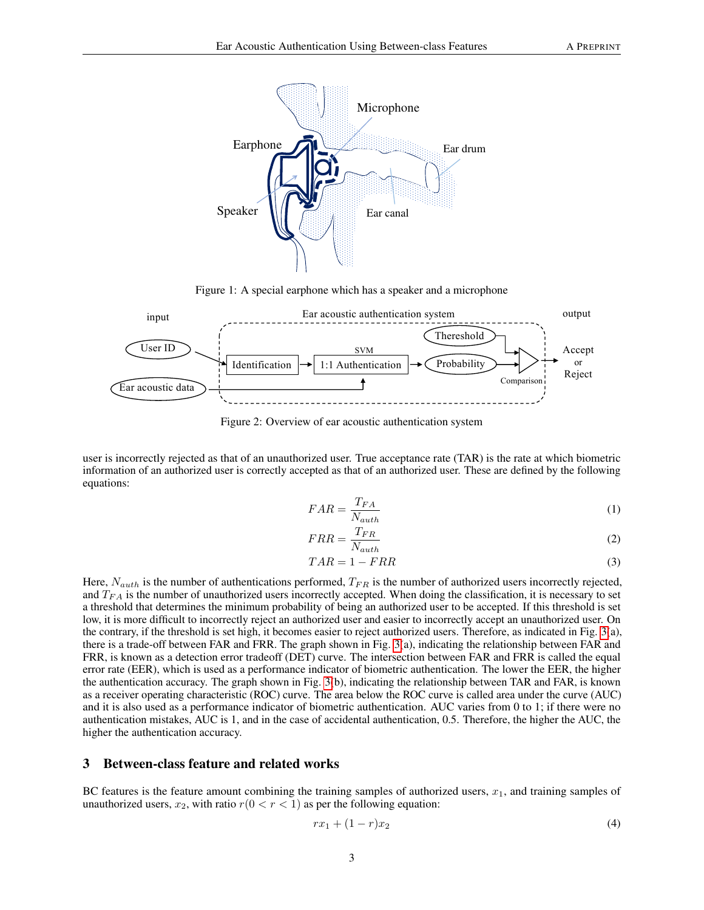

<span id="page-2-0"></span>Figure 1: A special earphone which has a speaker and a microphone



<span id="page-2-1"></span>Figure 2: Overview of ear acoustic authentication system

user is incorrectly rejected as that of an unauthorized user. True acceptance rate (TAR) is the rate at which biometric information of an authorized user is correctly accepted as that of an authorized user. These are defined by the following equations:

$$
FAR = \frac{T_{FA}}{N_{auth}}\tag{1}
$$

$$
FRR = \frac{T_{FR}}{N_{auth}}\tag{2}
$$

$$
TAR = 1 - FRR \tag{3}
$$

Here,  $N_{auth}$  is the number of authentications performed,  $T_{FR}$  is the number of authorized users incorrectly rejected, and  $T_{FA}$  is the number of unauthorized users incorrectly accepted. When doing the classification, it is necessary to set a threshold that determines the minimum probability of being an authorized user to be accepted. If this threshold is set low, it is more difficult to incorrectly reject an authorized user and easier to incorrectly accept an unauthorized user. On the contrary, if the threshold is set high, it becomes easier to reject authorized users. Therefore, as indicated in Fig. [3\(](#page-3-0)a), there is a trade-off between FAR and FRR. The graph shown in Fig. [3\(](#page-3-0)a), indicating the relationship between FAR and FRR, is known as a detection error tradeoff (DET) curve. The intersection between FAR and FRR is called the equal error rate (EER), which is used as a performance indicator of biometric authentication. The lower the EER, the higher the authentication accuracy. The graph shown in Fig. [3\(](#page-3-0)b), indicating the relationship between TAR and FAR, is known as a receiver operating characteristic (ROC) curve. The area below the ROC curve is called area under the curve (AUC) and it is also used as a performance indicator of biometric authentication. AUC varies from 0 to 1; if there were no authentication mistakes, AUC is 1, and in the case of accidental authentication, 0.5. Therefore, the higher the AUC, the higher the authentication accuracy.

## 3 Between-class feature and related works

BC features is the feature amount combining the training samples of authorized users,  $x_1$ , and training samples of unauthorized users,  $x_2$ , with ratio  $r(0 < r < 1)$  as per the following equation:

$$
rx_1 + (1 - r)x_2 \tag{4}
$$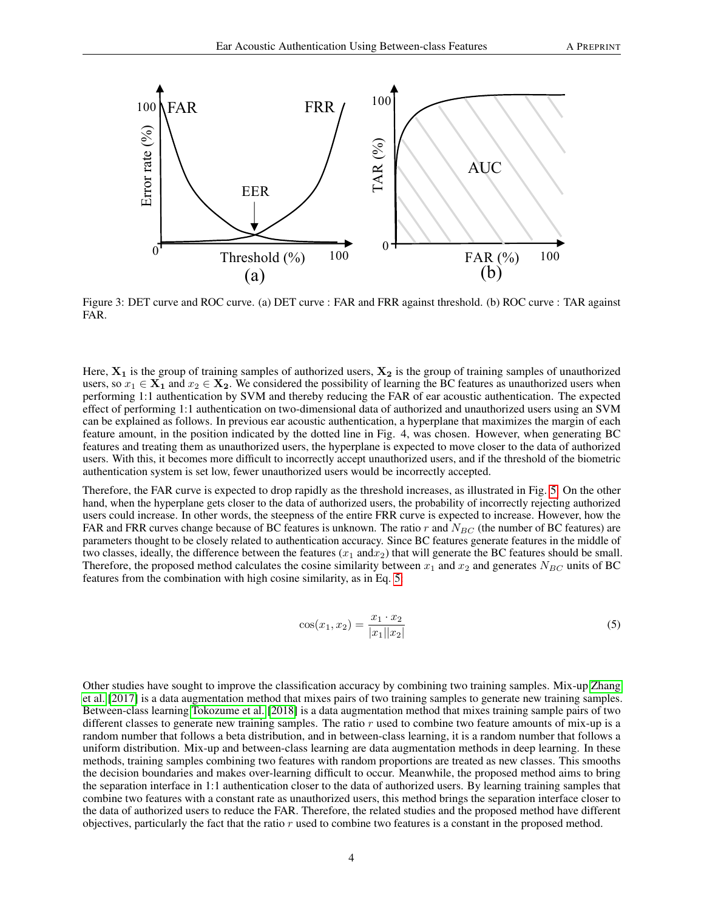

<span id="page-3-0"></span>Figure 3: DET curve and ROC curve. (a) DET curve : FAR and FRR against threshold. (b) ROC curve : TAR against FAR.

Here,  $X_1$  is the group of training samples of authorized users,  $X_2$  is the group of training samples of unauthorized users, so  $x_1 \in X_1$  and  $x_2 \in X_2$ . We considered the possibility of learning the BC features as unauthorized users when performing 1:1 authentication by SVM and thereby reducing the FAR of ear acoustic authentication. The expected effect of performing 1:1 authentication on two-dimensional data of authorized and unauthorized users using an SVM can be explained as follows. In previous ear acoustic authentication, a hyperplane that maximizes the margin of each feature amount, in the position indicated by the dotted line in Fig. 4, was chosen. However, when generating BC features and treating them as unauthorized users, the hyperplane is expected to move closer to the data of authorized users. With this, it becomes more difficult to incorrectly accept unauthorized users, and if the threshold of the biometric authentication system is set low, fewer unauthorized users would be incorrectly accepted.

Therefore, the FAR curve is expected to drop rapidly as the threshold increases, as illustrated in Fig. [5.](#page-4-0) On the other hand, when the hyperplane gets closer to the data of authorized users, the probability of incorrectly rejecting authorized users could increase. In other words, the steepness of the entire FRR curve is expected to increase. However, how the FAR and FRR curves change because of BC features is unknown. The ratio r and  $N_{BC}$  (the number of BC features) are parameters thought to be closely related to authentication accuracy. Since BC features generate features in the middle of two classes, ideally, the difference between the features  $(x_1 \text{ and } x_2)$  that will generate the BC features should be small. Therefore, the proposed method calculates the cosine similarity between  $x_1$  and  $x_2$  and generates  $N_{BC}$  units of BC features from the combination with high cosine similarity, as in Eq. [5:](#page-3-1)

<span id="page-3-1"></span>
$$
\cos(x_1, x_2) = \frac{x_1 \cdot x_2}{|x_1||x_2|} \tag{5}
$$

Other studies have sought to improve the classification accuracy by combining two training samples. Mix-up [Zhang](#page-8-8) [et al.](#page-8-8) [\[2017\]](#page-8-8) is a data augmentation method that mixes pairs of two training samples to generate new training samples. Between-class learning [Tokozume et al.](#page-8-9) [\[2018\]](#page-8-9) is a data augmentation method that mixes training sample pairs of two different classes to generate new training samples. The ratio  $r$  used to combine two feature amounts of mix-up is a random number that follows a beta distribution, and in between-class learning, it is a random number that follows a uniform distribution. Mix-up and between-class learning are data augmentation methods in deep learning. In these methods, training samples combining two features with random proportions are treated as new classes. This smooths the decision boundaries and makes over-learning difficult to occur. Meanwhile, the proposed method aims to bring the separation interface in 1:1 authentication closer to the data of authorized users. By learning training samples that combine two features with a constant rate as unauthorized users, this method brings the separation interface closer to the data of authorized users to reduce the FAR. Therefore, the related studies and the proposed method have different objectives, particularly the fact that the ratio r used to combine two features is a constant in the proposed method.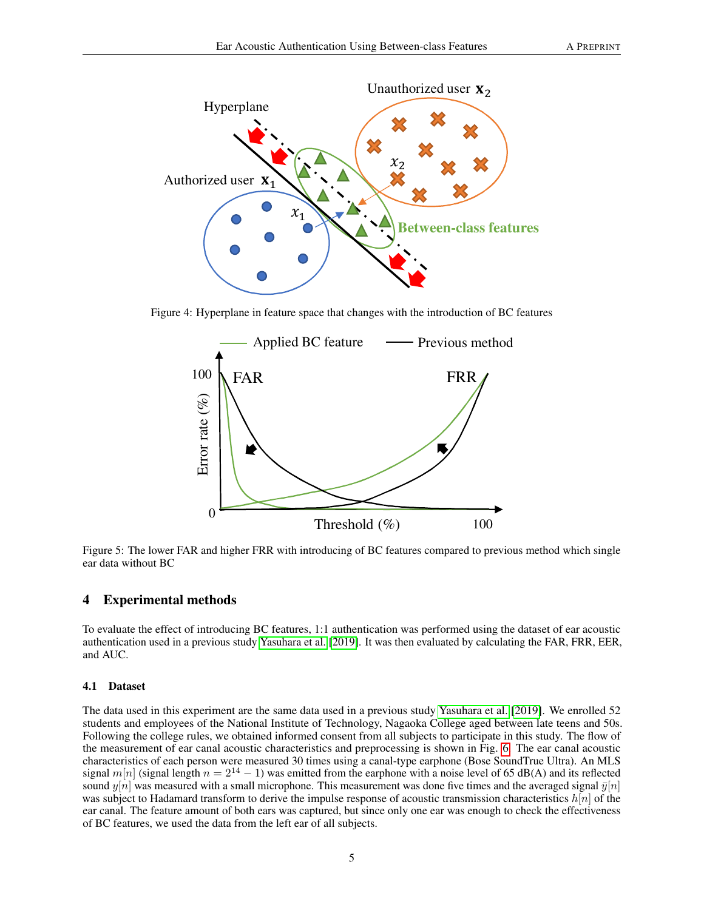

Figure 4: Hyperplane in feature space that changes with the introduction of BC features



<span id="page-4-0"></span>Figure 5: The lower FAR and higher FRR with introducing of BC features compared to previous method which single ear data without BC

## 4 Experimental methods

To evaluate the effect of introducing BC features, 1:1 authentication was performed using the dataset of ear acoustic authentication used in a previous study [Yasuhara et al.](#page-8-3) [\[2019\]](#page-8-3). It was then evaluated by calculating the FAR, FRR, EER, and AUC.

#### 4.1 Dataset

The data used in this experiment are the same data used in a previous study [Yasuhara et al.](#page-8-3) [\[2019\]](#page-8-3). We enrolled 52 students and employees of the National Institute of Technology, Nagaoka College aged between late teens and 50s. Following the college rules, we obtained informed consent from all subjects to participate in this study. The flow of the measurement of ear canal acoustic characteristics and preprocessing is shown in Fig. [6.](#page-5-0) The ear canal acoustic characteristics of each person were measured 30 times using a canal-type earphone (Bose SoundTrue Ultra). An MLS signal m[n] (signal length  $n = 2^{14} - 1$ ) was emitted from the earphone with a noise level of 65 dB(A) and its reflected sound  $y[n]$  was measured with a small microphone. This measurement was done five times and the averaged signal  $\bar{y}[n]$ was subject to Hadamard transform to derive the impulse response of acoustic transmission characteristics  $h[n]$  of the ear canal. The feature amount of both ears was captured, but since only one ear was enough to check the effectiveness of BC features, we used the data from the left ear of all subjects.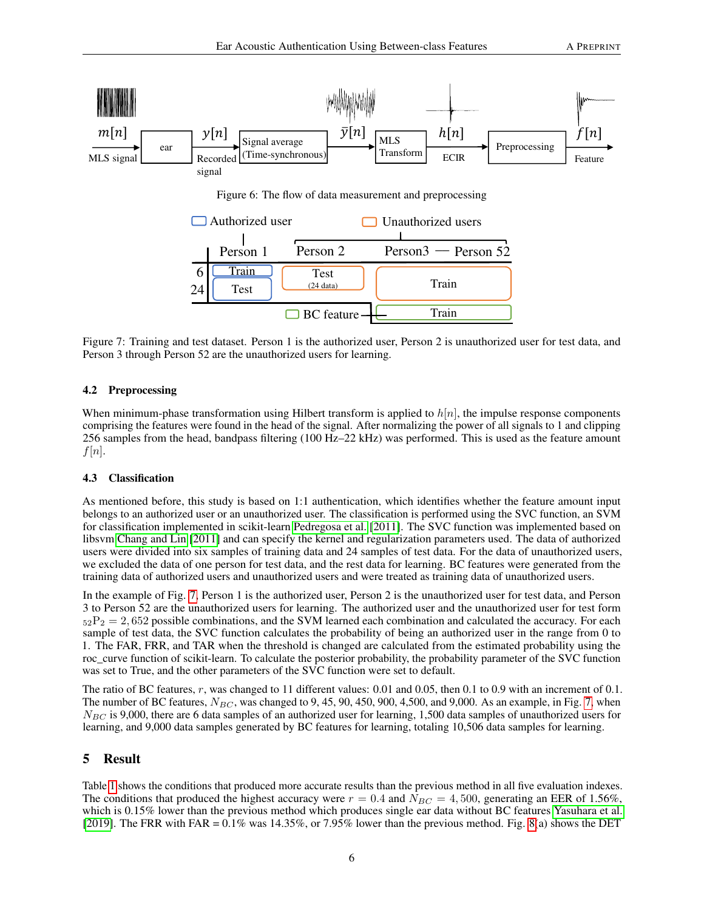<span id="page-5-0"></span>

<span id="page-5-1"></span>Figure 7: Training and test dataset. Person 1 is the authorized user, Person 2 is unauthorized user for test data, and Person 3 through Person 52 are the unauthorized users for learning.

## 4.2 Preprocessing

When minimum-phase transformation using Hilbert transform is applied to  $h[n]$ , the impulse response components comprising the features were found in the head of the signal. After normalizing the power of all signals to 1 and clipping 256 samples from the head, bandpass filtering (100 Hz–22 kHz) was performed. This is used as the feature amount  $f[n]$ .

#### 4.3 Classification

As mentioned before, this study is based on 1:1 authentication, which identifies whether the feature amount input belongs to an authorized user or an unauthorized user. The classification is performed using the SVC function, an SVM for classification implemented in scikit-learn [Pedregosa et al.](#page-8-10) [\[2011\]](#page-8-10). The SVC function was implemented based on libsvm [Chang and Lin](#page-8-11) [\[2011\]](#page-8-11) and can specify the kernel and regularization parameters used. The data of authorized users were divided into six samples of training data and 24 samples of test data. For the data of unauthorized users, we excluded the data of one person for test data, and the rest data for learning. BC features were generated from the training data of authorized users and unauthorized users and were treated as training data of unauthorized users.

In the example of Fig. [7,](#page-5-1) Person 1 is the authorized user, Person 2 is the unauthorized user for test data, and Person 3 to Person 52 are the unauthorized users for learning. The authorized user and the unauthorized user for test form  $52P_2 = 2,652$  possible combinations, and the SVM learned each combination and calculated the accuracy. For each sample of test data, the SVC function calculates the probability of being an authorized user in the range from 0 to 1. The FAR, FRR, and TAR when the threshold is changed are calculated from the estimated probability using the roc\_curve function of scikit-learn. To calculate the posterior probability, the probability parameter of the SVC function was set to True, and the other parameters of the SVC function were set to default.

The ratio of BC features, r, was changed to 11 different values: 0.01 and 0.05, then 0.1 to 0.9 with an increment of 0.1. The number of BC features,  $N_{BC}$ , was changed to 9, 45, 90, 450, 900, 4,500, and 9,000. As an example, in Fig. [7,](#page-5-1) when  $N_{BC}$  is 9,000, there are 6 data samples of an authorized user for learning, 1,500 data samples of unauthorized users for learning, and 9,000 data samples generated by BC features for learning, totaling 10,506 data samples for learning.

# 5 Result

Table [1](#page-7-9) shows the conditions that produced more accurate results than the previous method in all five evaluation indexes. The conditions that produced the highest accuracy were  $r = 0.4$  and  $N_{BC} = 4,500$ , generating an EER of 1.56%, which is 0.15% lower than the previous method which produces single ear data without BC features [Yasuhara et al.](#page-8-3) [\[2019\]](#page-8-3). The FRR with FAR =  $0.1\%$  was 14.35%, or 7.95% lower than the previous method. Fig. [8\(](#page-6-0)a) shows the DET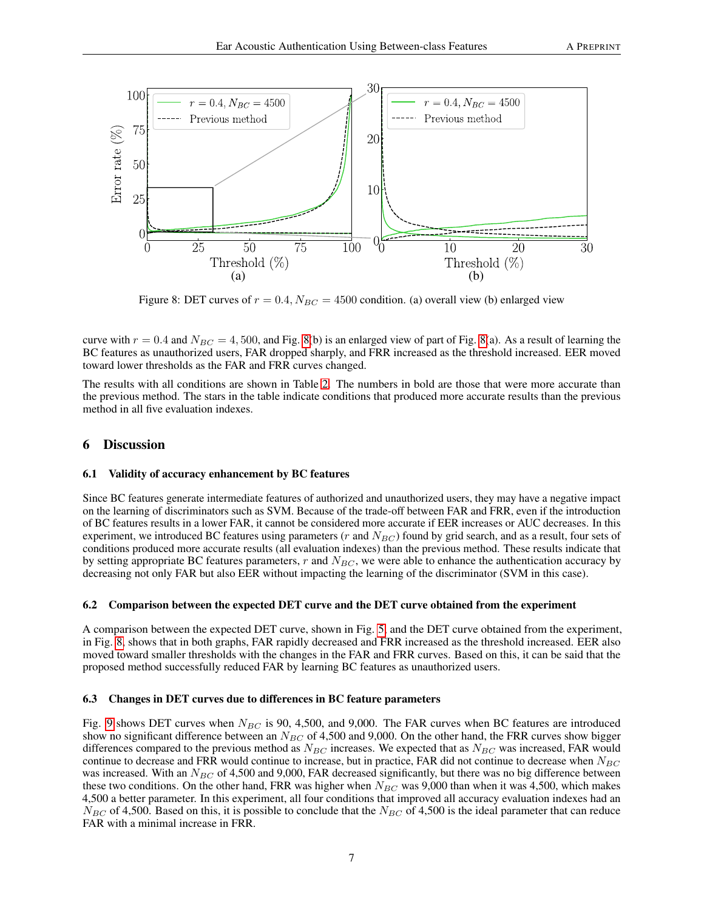

<span id="page-6-0"></span>Figure 8: DET curves of  $r = 0.4$ ,  $N_{BC} = 4500$  condition. (a) overall view (b) enlarged view

curve with  $r = 0.4$  and  $N_{BC} = 4,500$ , and Fig. [8\(](#page-6-0)b) is an enlarged view of part of Fig. 8(a). As a result of learning the BC features as unauthorized users, FAR dropped sharply, and FRR increased as the threshold increased. EER moved toward lower thresholds as the FAR and FRR curves changed.

The results with all conditions are shown in Table [2.](#page-10-0) The numbers in bold are those that were more accurate than the previous method. The stars in the table indicate conditions that produced more accurate results than the previous method in all five evaluation indexes.

# 6 Discussion

#### 6.1 Validity of accuracy enhancement by BC features

Since BC features generate intermediate features of authorized and unauthorized users, they may have a negative impact on the learning of discriminators such as SVM. Because of the trade-off between FAR and FRR, even if the introduction of BC features results in a lower FAR, it cannot be considered more accurate if EER increases or AUC decreases. In this experiment, we introduced BC features using parameters (r and  $N_{BC}$ ) found by grid search, and as a result, four sets of conditions produced more accurate results (all evaluation indexes) than the previous method. These results indicate that by setting appropriate BC features parameters,  $r$  and  $N_{BC}$ , we were able to enhance the authentication accuracy by decreasing not only FAR but also EER without impacting the learning of the discriminator (SVM in this case).

#### 6.2 Comparison between the expected DET curve and the DET curve obtained from the experiment

A comparison between the expected DET curve, shown in Fig. [5,](#page-4-0) and the DET curve obtained from the experiment, in Fig. [8,](#page-6-0) shows that in both graphs, FAR rapidly decreased and FRR increased as the threshold increased. EER also moved toward smaller thresholds with the changes in the FAR and FRR curves. Based on this, it can be said that the proposed method successfully reduced FAR by learning BC features as unauthorized users.

#### 6.3 Changes in DET curves due to differences in BC feature parameters

Fig. [9](#page-9-0) shows DET curves when  $N_{BC}$  is 90, 4,500, and 9,000. The FAR curves when BC features are introduced show no significant difference between an  $N_{BC}$  of 4,500 and 9,000. On the other hand, the FRR curves show bigger differences compared to the previous method as  $N_{BC}$  increases. We expected that as  $N_{BC}$  was increased, FAR would continue to decrease and FRR would continue to increase, but in practice, FAR did not continue to decrease when  $N_{BC}$ was increased. With an  $N_{BC}$  of 4,500 and 9,000, FAR decreased significantly, but there was no big difference between these two conditions. On the other hand, FRR was higher when  $N_{BC}$  was 9,000 than when it was 4,500, which makes 4,500 a better parameter. In this experiment, all four conditions that improved all accuracy evaluation indexes had an  $N_{BC}$  of 4,500. Based on this, it is possible to conclude that the  $N_{BC}$  of 4,500 is the ideal parameter that can reduce FAR with a minimal increase in FRR.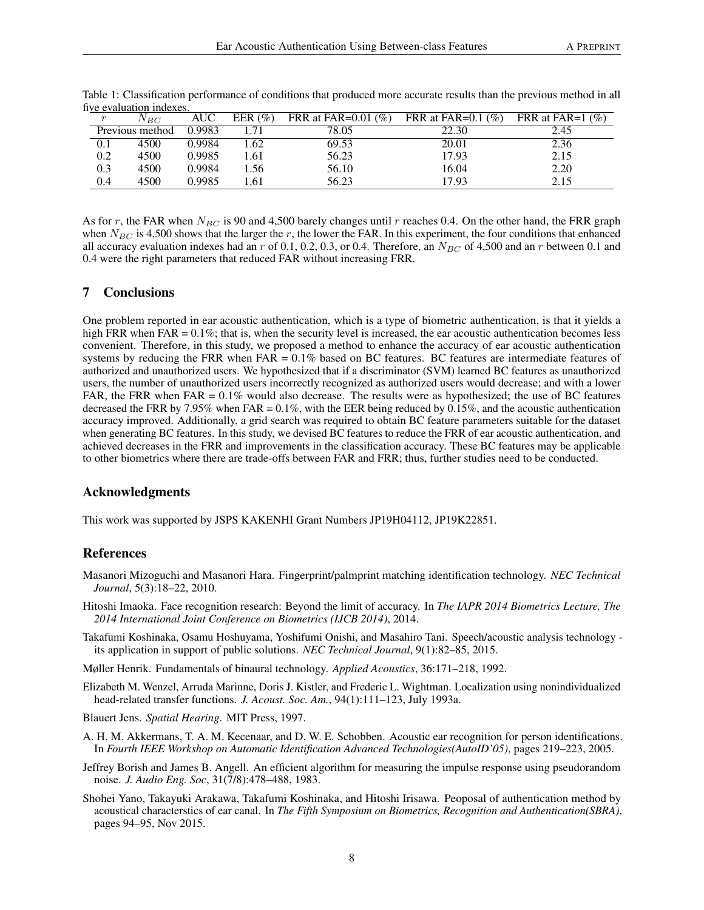| $\mathbf{r}$    | $N_{BC}$ | AUC    | EER $(\% )$ | FRR at FAR= $0.01\ (\%)$ | FRR at FAR= $0.1\ (\%)$ | FRR at FAR=1 $(\% )$ |
|-----------------|----------|--------|-------------|--------------------------|-------------------------|----------------------|
| Previous method |          | 0.9983 |             | 78.05                    | 22.30                   | 2.45                 |
|                 | 4500     | 0.9984 | .62         | 69.53                    | 20.01                   | 2.36                 |
| 0.2             | 4500     | 0.9985 | .61         | 56.23                    | 17.93                   | 2.15                 |
| 0.3             | 4500     | 0.9984 | .56         | 56.10                    | 16.04                   | 2.20                 |
| 0.4             | 4500     | 0.9985 | .61         | 56.23                    | 17.93                   | 2.15                 |

<span id="page-7-9"></span>Table 1: Classification performance of conditions that produced more accurate results than the previous method in all five evaluation indexes.

As for r, the FAR when  $N_{BC}$  is 90 and 4,500 barely changes until r reaches 0.4. On the other hand, the FRR graph when  $N_{BC}$  is 4,500 shows that the larger the r, the lower the FAR. In this experiment, the four conditions that enhanced all accuracy evaluation indexes had an r of 0.1, 0.2, 0.3, or 0.4. Therefore, an  $N_{BC}$  of 4,500 and an r between 0.1 and 0.4 were the right parameters that reduced FAR without increasing FRR.

# 7 Conclusions

One problem reported in ear acoustic authentication, which is a type of biometric authentication, is that it yields a high FRR when FAR =  $0.1\%$ ; that is, when the security level is increased, the ear acoustic authentication becomes less convenient. Therefore, in this study, we proposed a method to enhance the accuracy of ear acoustic authentication systems by reducing the FRR when  $FAR = 0.1\%$  based on BC features. BC features are intermediate features of authorized and unauthorized users. We hypothesized that if a discriminator (SVM) learned BC features as unauthorized users, the number of unauthorized users incorrectly recognized as authorized users would decrease; and with a lower FAR, the FRR when  $FAR = 0.1\%$  would also decrease. The results were as hypothesized; the use of BC features decreased the FRR by 7.95% when FAR = 0.1%, with the EER being reduced by 0.15%, and the acoustic authentication accuracy improved. Additionally, a grid search was required to obtain BC feature parameters suitable for the dataset when generating BC features. In this study, we devised BC features to reduce the FRR of ear acoustic authentication, and achieved decreases in the FRR and improvements in the classification accuracy. These BC features may be applicable to other biometrics where there are trade-offs between FAR and FRR; thus, further studies need to be conducted.

## Acknowledgments

This work was supported by JSPS KAKENHI Grant Numbers JP19H04112, JP19K22851.

## **References**

- <span id="page-7-0"></span>Masanori Mizoguchi and Masanori Hara. Fingerprint/palmprint matching identification technology. *NEC Technical Journal*, 5(3):18–22, 2010.
- <span id="page-7-1"></span>Hitoshi Imaoka. Face recognition research: Beyond the limit of accuracy. In *The IAPR 2014 Biometrics Lecture, The 2014 International Joint Conference on Biometrics (IJCB 2014)*, 2014.
- <span id="page-7-2"></span>Takafumi Koshinaka, Osamu Hoshuyama, Yoshifumi Onishi, and Masahiro Tani. Speech/acoustic analysis technology its application in support of public solutions. *NEC Technical Journal*, 9(1):82–85, 2015.
- <span id="page-7-3"></span>Møller Henrik. Fundamentals of binaural technology. *Applied Acoustics*, 36:171–218, 1992.
- <span id="page-7-4"></span>Elizabeth M. Wenzel, Arruda Marinne, Doris J. Kistler, and Frederic L. Wightman. Localization using nonindividualized head-related transfer functions. *J. Acoust. Soc. Am.*, 94(1):111–123, July 1993a.
- <span id="page-7-5"></span>Blauert Jens. *Spatial Hearing*. MIT Press, 1997.
- <span id="page-7-6"></span>A. H. M. Akkermans, T. A. M. Kecenaar, and D. W. E. Schobben. Acoustic ear recognition for person identifications. In *Fourth IEEE Workshop on Automatic Identification Advanced Technologies(AutoID'05)*, pages 219–223, 2005.
- <span id="page-7-7"></span>Jeffrey Borish and James B. Angell. An efficient algorithm for measuring the impulse response using pseudorandom noise. *J. Audio Eng. Soc*, 31(7/8):478–488, 1983.
- <span id="page-7-8"></span>Shohei Yano, Takayuki Arakawa, Takafumi Koshinaka, and Hitoshi Irisawa. Peoposal of authentication method by acoustical characterstics of ear canal. In *The Fifth Symposium on Biometrics, Recognition and Authentication(SBRA)*, pages 94–95, Nov 2015.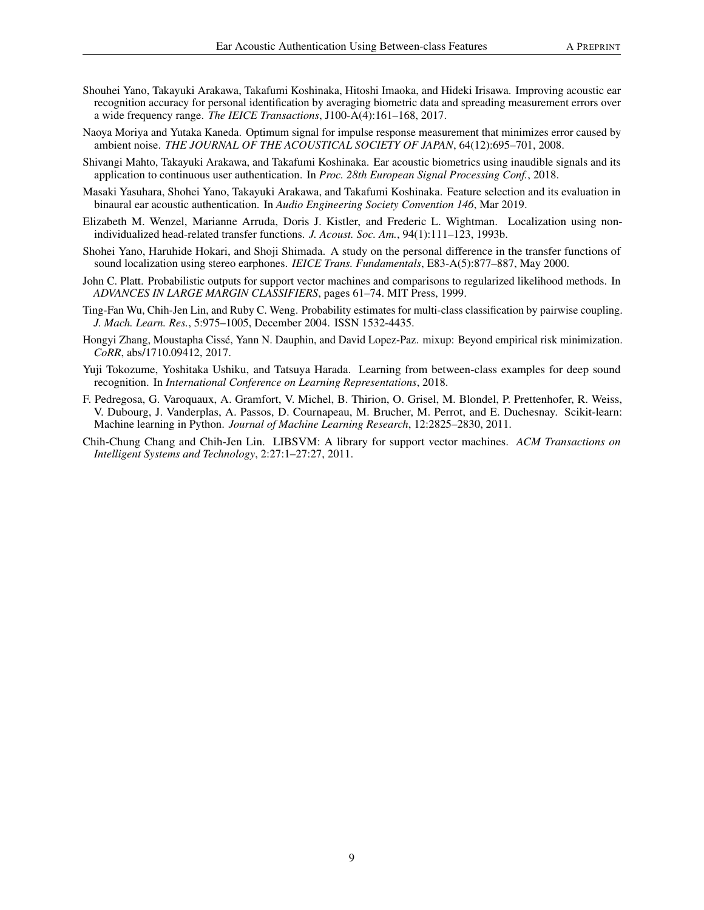- <span id="page-8-0"></span>Shouhei Yano, Takayuki Arakawa, Takafumi Koshinaka, Hitoshi Imaoka, and Hideki Irisawa. Improving acoustic ear recognition accuracy for personal identification by averaging biometric data and spreading measurement errors over a wide frequency range. *The IEICE Transactions*, J100-A(4):161–168, 2017.
- <span id="page-8-1"></span>Naoya Moriya and Yutaka Kaneda. Optimum signal for impulse response measurement that minimizes error caused by ambient noise. *THE JOURNAL OF THE ACOUSTICAL SOCIETY OF JAPAN*, 64(12):695–701, 2008.
- <span id="page-8-2"></span>Shivangi Mahto, Takayuki Arakawa, and Takafumi Koshinaka. Ear acoustic biometrics using inaudible signals and its application to continuous user authentication. In *Proc. 28th European Signal Processing Conf.*, 2018.
- <span id="page-8-3"></span>Masaki Yasuhara, Shohei Yano, Takayuki Arakawa, and Takafumi Koshinaka. Feature selection and its evaluation in binaural ear acoustic authentication. In *Audio Engineering Society Convention 146*, Mar 2019.
- <span id="page-8-4"></span>Elizabeth M. Wenzel, Marianne Arruda, Doris J. Kistler, and Frederic L. Wightman. Localization using nonindividualized head-related transfer functions. *J. Acoust. Soc. Am.*, 94(1):111–123, 1993b.
- <span id="page-8-5"></span>Shohei Yano, Haruhide Hokari, and Shoji Shimada. A study on the personal difference in the transfer functions of sound localization using stereo earphones. *IEICE Trans. Fundamentals*, E83-A(5):877–887, May 2000.
- <span id="page-8-6"></span>John C. Platt. Probabilistic outputs for support vector machines and comparisons to regularized likelihood methods. In *ADVANCES IN LARGE MARGIN CLASSIFIERS*, pages 61–74. MIT Press, 1999.
- <span id="page-8-7"></span>Ting-Fan Wu, Chih-Jen Lin, and Ruby C. Weng. Probability estimates for multi-class classification by pairwise coupling. *J. Mach. Learn. Res.*, 5:975–1005, December 2004. ISSN 1532-4435.
- <span id="page-8-8"></span>Hongyi Zhang, Moustapha Cissé, Yann N. Dauphin, and David Lopez-Paz. mixup: Beyond empirical risk minimization. *CoRR*, abs/1710.09412, 2017.
- <span id="page-8-9"></span>Yuji Tokozume, Yoshitaka Ushiku, and Tatsuya Harada. Learning from between-class examples for deep sound recognition. In *International Conference on Learning Representations*, 2018.
- <span id="page-8-10"></span>F. Pedregosa, G. Varoquaux, A. Gramfort, V. Michel, B. Thirion, O. Grisel, M. Blondel, P. Prettenhofer, R. Weiss, V. Dubourg, J. Vanderplas, A. Passos, D. Cournapeau, M. Brucher, M. Perrot, and E. Duchesnay. Scikit-learn: Machine learning in Python. *Journal of Machine Learning Research*, 12:2825–2830, 2011.
- <span id="page-8-11"></span>Chih-Chung Chang and Chih-Jen Lin. LIBSVM: A library for support vector machines. *ACM Transactions on Intelligent Systems and Technology*, 2:27:1–27:27, 2011.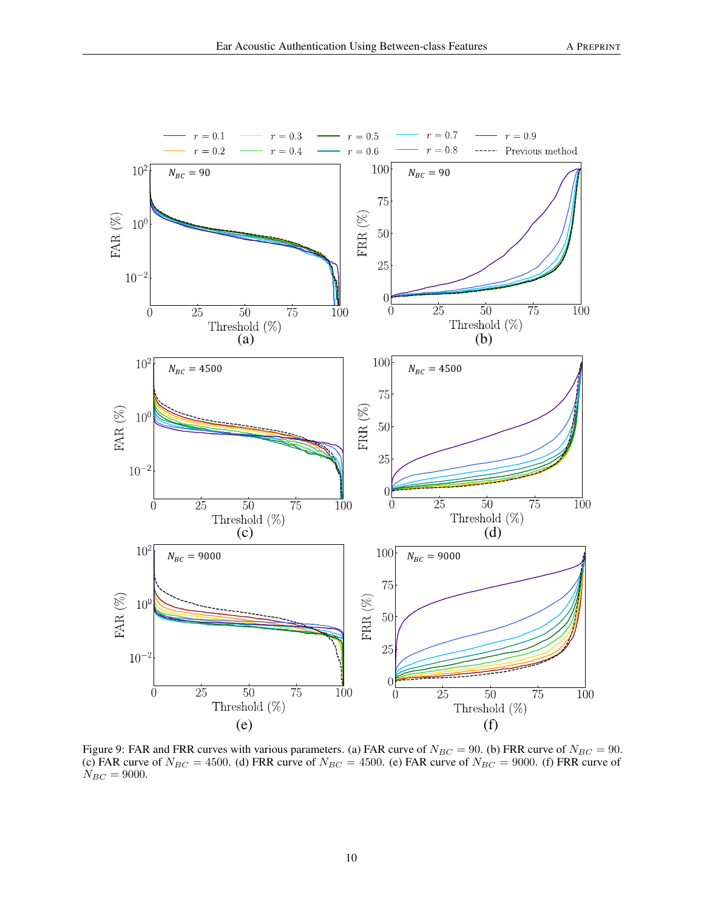

<span id="page-9-0"></span>Figure 9: FAR and FRR curves with various parameters. (a) FAR curve of  $N_{BC} = 90$ . (b) FRR curve of  $N_{BC} = 90$ . (c) FAR curve of  $N_{BC} = 4500$ . (d) FRR curve of  $N_{BC} = 4500$ . (e) FAR curve of  $N_{BC} = 9000$ . (f) FRR curve of  $N_{BC} = 9000.$